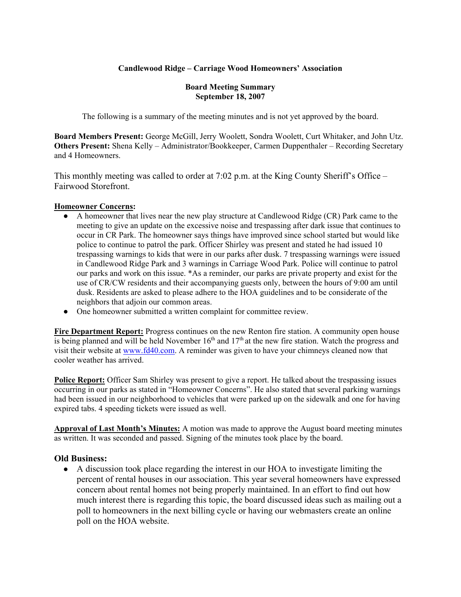# **Candlewood Ridge – Carriage Wood Homeowners' Association**

#### **Board Meeting Summary September 18, 2007**

The following is a summary of the meeting minutes and is not yet approved by the board.

**Board Members Present:** George McGill, Jerry Woolett, Sondra Woolett, Curt Whitaker, and John Utz. **Others Present:** Shena Kelly – Administrator/Bookkeeper, Carmen Duppenthaler – Recording Secretary and 4 Homeowners.

This monthly meeting was called to order at 7:02 p.m. at the King County Sheriff's Office – Fairwood Storefront.

## **Homeowner Concerns:**

- A homeowner that lives near the new play structure at Candlewood Ridge (CR) Park came to the meeting to give an update on the excessive noise and trespassing after dark issue that continues to occur in CR Park. The homeowner says things have improved since school started but would like police to continue to patrol the park. Officer Shirley was present and stated he had issued 10 trespassing warnings to kids that were in our parks after dusk. 7 trespassing warnings were issued in Candlewood Ridge Park and 3 warnings in Carriage Wood Park. Police will continue to patrol our parks and work on this issue. \*As a reminder, our parks are private property and exist for the use of CR/CW residents and their accompanying guests only, between the hours of 9:00 am until dusk. Residents are asked to please adhere to the HOA guidelines and to be considerate of the neighbors that adjoin our common areas.
- One homeowner submitted a written complaint for committee review.

**Fire Department Report:** Progress continues on the new Renton fire station. A community open house is being planned and will be held November  $16<sup>th</sup>$  and  $17<sup>th</sup>$  at the new fire station. Watch the progress and visit their website at www.fd40.com. A reminder was given to have your chimneys cleaned now that cooler weather has arrived.

**Police Report:** Officer Sam Shirley was present to give a report. He talked about the trespassing issues occurring in our parks as stated in "Homeowner Concerns". He also stated that several parking warnings had been issued in our neighborhood to vehicles that were parked up on the sidewalk and one for having expired tabs. 4 speeding tickets were issued as well.

**Approval of Last Month's Minutes:** A motion was made to approve the August board meeting minutes as written. It was seconded and passed. Signing of the minutes took place by the board.

# **Old Business:**

● A discussion took place regarding the interest in our HOA to investigate limiting the percent of rental houses in our association. This year several homeowners have expressed concern about rental homes not being properly maintained. In an effort to find out how much interest there is regarding this topic, the board discussed ideas such as mailing out a poll to homeowners in the next billing cycle or having our webmasters create an online poll on the HOA website.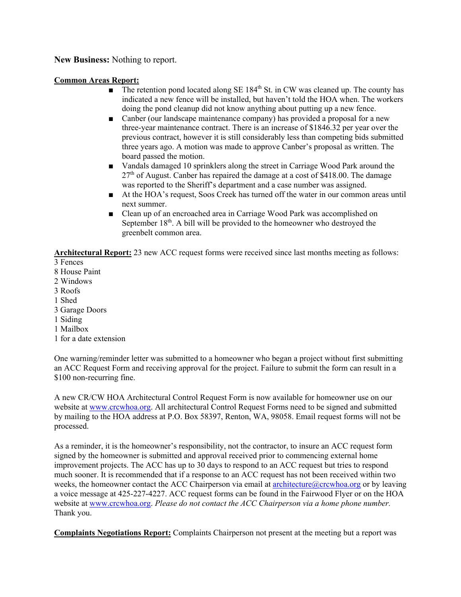**New Business:** Nothing to report.

## **Common Areas Report:**

- The retention pond located along SE  $184<sup>th</sup>$  St. in CW was cleaned up. The county has indicated a new fence will be installed, but haven't told the HOA when. The workers doing the pond cleanup did not know anything about putting up a new fence.
- Canber (our landscape maintenance company) has provided a proposal for a new three-year maintenance contract. There is an increase of \$1846.32 per year over the previous contract, however it is still considerably less than competing bids submitted three years ago. A motion was made to approve Canber's proposal as written. The board passed the motion.
- Vandals damaged 10 sprinklers along the street in Carriage Wood Park around the  $27<sup>th</sup>$  of August. Canber has repaired the damage at a cost of \$418.00. The damage was reported to the Sheriff's department and a case number was assigned.
- At the HOA's request, Soos Creek has turned off the water in our common areas until next summer.
- Clean up of an encroached area in Carriage Wood Park was accomplished on September  $18<sup>th</sup>$ . A bill will be provided to the homeowner who destroyed the greenbelt common area.

**Architectural Report:** 23 new ACC request forms were received since last months meeting as follows:

- 3 Fences
- 8 House Paint
- 2 Windows
- 3 Roofs
- 1 Shed
- 3 Garage Doors
- 1 Siding
- 1 Mailbox
- 1 for a date extension

One warning/reminder letter was submitted to a homeowner who began a project without first submitting an ACC Request Form and receiving approval for the project. Failure to submit the form can result in a \$100 non-recurring fine.

A new CR/CW HOA Architectural Control Request Form is now available for homeowner use on our website at www.crcwhoa.org. All architectural Control Request Forms need to be signed and submitted by mailing to the HOA address at P.O. Box 58397, Renton, WA, 98058. Email request forms will not be processed.

As a reminder, it is the homeowner's responsibility, not the contractor, to insure an ACC request form signed by the homeowner is submitted and approval received prior to commencing external home improvement projects. The ACC has up to 30 days to respond to an ACC request but tries to respond much sooner. It is recommended that if a response to an ACC request has not been received within two weeks, the homeowner contact the ACC Chairperson via email at  $\arph{\text{architecture}}(a)$  crcwhoa.org or by leaving a voice message at 425-227-4227. ACC request forms can be found in the Fairwood Flyer or on the HOA website at www.crcwhoa.org. *Please do not contact the ACC Chairperson via a home phone number.* Thank you.

**Complaints Negotiations Report:** Complaints Chairperson not present at the meeting but a report was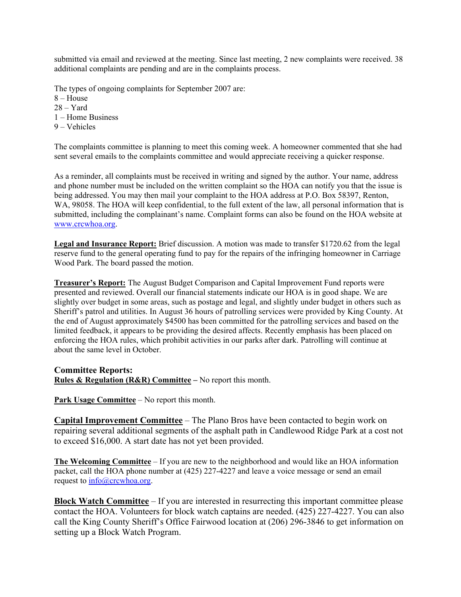submitted via email and reviewed at the meeting. Since last meeting, 2 new complaints were received. 38 additional complaints are pending and are in the complaints process.

The types of ongoing complaints for September 2007 are:

 $8 - House$ 

 $28 - Yard$ 

1 – Home Business

9 – Vehicles

The complaints committee is planning to meet this coming week. A homeowner commented that she had sent several emails to the complaints committee and would appreciate receiving a quicker response.

As a reminder, all complaints must be received in writing and signed by the author. Your name, address and phone number must be included on the written complaint so the HOA can notify you that the issue is being addressed. You may then mail your complaint to the HOA address at P.O. Box 58397, Renton, WA, 98058. The HOA will keep confidential, to the full extent of the law, all personal information that is submitted, including the complainant's name. Complaint forms can also be found on the HOA website at www.crcwhoa.org.

**Legal and Insurance Report:** Brief discussion. A motion was made to transfer \$1720.62 from the legal reserve fund to the general operating fund to pay for the repairs of the infringing homeowner in Carriage Wood Park. The board passed the motion.

**Treasurer's Report:** The August Budget Comparison and Capital Improvement Fund reports were presented and reviewed. Overall our financial statements indicate our HOA is in good shape. We are slightly over budget in some areas, such as postage and legal, and slightly under budget in others such as Sheriff's patrol and utilities. In August 36 hours of patrolling services were provided by King County. At the end of August approximately \$4500 has been committed for the patrolling services and based on the limited feedback, it appears to be providing the desired affects. Recently emphasis has been placed on enforcing the HOA rules, which prohibit activities in our parks after dark. Patrolling will continue at about the same level in October.

**Committee Reports: Rules & Regulation (R&R) Committee –** No report this month.

**Park Usage Committee** – No report this month.

**Capital Improvement Committee** – The Plano Bros have been contacted to begin work on repairing several additional segments of the asphalt path in Candlewood Ridge Park at a cost not to exceed \$16,000. A start date has not yet been provided.

**The Welcoming Committee** – If you are new to the neighborhood and would like an HOA information packet, call the HOA phone number at (425) 227-4227 and leave a voice message or send an email request to info@crcwhoa.org.

**Block Watch Committee** – If you are interested in resurrecting this important committee please contact the HOA. Volunteers for block watch captains are needed. (425) 227-4227. You can also call the King County Sheriff's Office Fairwood location at (206) 296-3846 to get information on setting up a Block Watch Program.